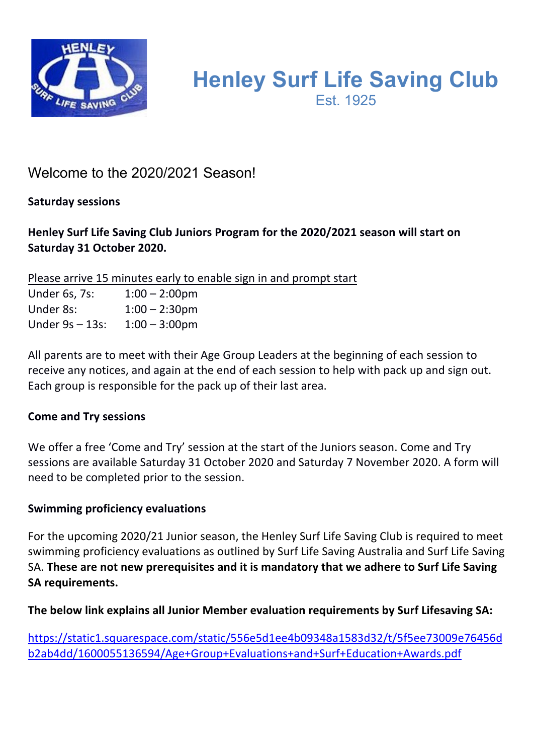

# **Henley Surf Life Saving Club** Est. 1925

# Welcome to the 2020/2021 Season!

**Saturday sessions** 

# **Henley Surf Life Saving Club Juniors Program for the 2020/2021 season will start on Saturday 31 October 2020.**

Please arrive 15 minutes early to enable sign in and prompt start

Under 6s, 7s: 1:00 – 2:00pm Under 8s: 1:00 – 2:30pm Under 9s – 13s: 1:00 – 3:00pm

All parents are to meet with their Age Group Leaders at the beginning of each session to receive any notices, and again at the end of each session to help with pack up and sign out. Each group is responsible for the pack up of their last area.

# **Come and Try sessions**

We offer a free 'Come and Try' session at the start of the Juniors season. Come and Try sessions are available Saturday 31 October 2020 and Saturday 7 November 2020. A form will need to be completed prior to the session.

# **Swimming proficiency evaluations**

For the upcoming 2020/21 Junior season, the Henley Surf Life Saving Club is required to meet swimming proficiency evaluations as outlined by Surf Life Saving Australia and Surf Life Saving SA. **These are not new prerequisites and it is mandatory that we adhere to Surf Life Saving SA requirements.**

**The below link explains all Junior Member evaluation requirements by Surf Lifesaving SA:**

https://static1.squarespace.com/static/556e5d1ee4b09348a1583d32/t/5f5ee73009e76456d b2ab4dd/1600055136594/Age+Group+Evaluations+and+Surf+Education+Awards.pdf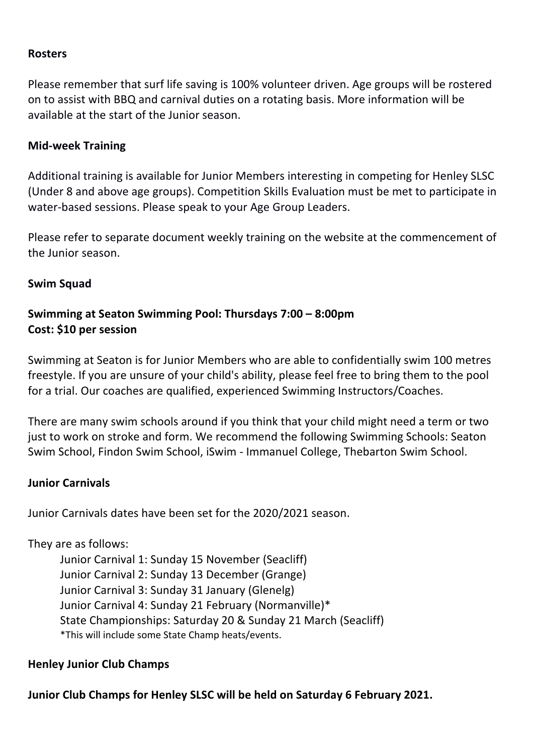#### **Rosters**

Please remember that surf life saving is 100% volunteer driven. Age groups will be rostered on to assist with BBQ and carnival duties on a rotating basis. More information will be available at the start of the Junior season.

#### **Mid-week Training**

Additional training is available for Junior Members interesting in competing for Henley SLSC (Under 8 and above age groups). Competition Skills Evaluation must be met to participate in water-based sessions. Please speak to your Age Group Leaders.

Please refer to separate document weekly training on the website at the commencement of the Junior season.

#### **Swim Squad**

### **Swimming at Seaton Swimming Pool: Thursdays 7:00 – 8:00pm Cost: \$10 per session**

Swimming at Seaton is for Junior Members who are able to confidentially swim 100 metres freestyle. If you are unsure of your child's ability, please feel free to bring them to the pool for a trial. Our coaches are qualified, experienced Swimming Instructors/Coaches.

There are many swim schools around if you think that your child might need a term or two just to work on stroke and form. We recommend the following Swimming Schools: Seaton Swim School, Findon Swim School, iSwim - Immanuel College, Thebarton Swim School.

#### **Junior Carnivals**

Junior Carnivals dates have been set for the 2020/2021 season.

#### They are as follows:

Junior Carnival 1: Sunday 15 November (Seacliff) Junior Carnival 2: Sunday 13 December (Grange) Junior Carnival 3: Sunday 31 January (Glenelg) Junior Carnival 4: Sunday 21 February (Normanville)\* State Championships: Saturday 20 & Sunday 21 March (Seacliff) \*This will include some State Champ heats/events.

#### **Henley Junior Club Champs**

**Junior Club Champs for Henley SLSC will be held on Saturday 6 February 2021.**